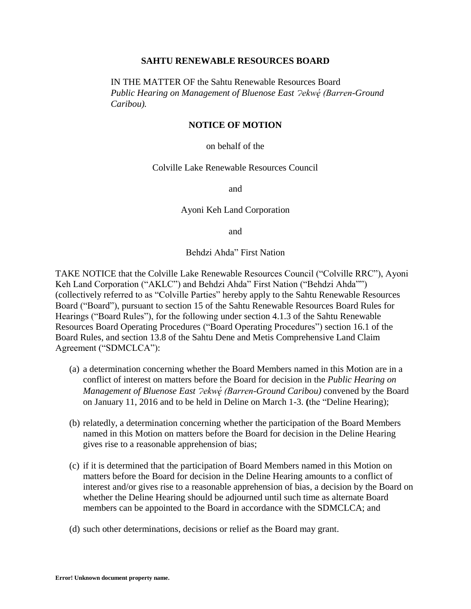#### **SAHTU RENEWABLE RESOURCES BOARD**

## IN THE MATTER OF the Sahtu Renewable Resources Board *Public Hearing on Management of Bluenose East ?ekw* $\acute{e}$  *(Barren-Ground Caribou).*

#### **NOTICE OF MOTION**

on behalf of the

#### Colville Lake Renewable Resources Council

and

#### Ayoni Keh Land Corporation

and

Behdzi Ahda" First Nation

TAKE NOTICE that the Colville Lake Renewable Resources Council ("Colville RRC"), Ayoni Keh Land Corporation ("AKLC") and Behdzi Ahda" First Nation ("Behdzi Ahda"") (collectively referred to as "Colville Parties" hereby apply to the Sahtu Renewable Resources Board ("Board"), pursuant to section 15 of the Sahtu Renewable Resources Board Rules for Hearings ("Board Rules"), for the following under section 4.1.3 of the Sahtu Renewable Resources Board Operating Procedures ("Board Operating Procedures") section 16.1 of the Board Rules, and section 13.8 of the Sahtu Dene and Metis Comprehensive Land Claim Agreement ("SDMCLCA"):

- (a) a determination concerning whether the Board Members named in this Motion are in a conflict of interest on matters before the Board for decision in the *Public Hearing on Management of Bluenose East ?ekw* $\acute{e}$  *(Barren-Ground Caribou)* convened by the Board on January 11, 2016 and to be held in Deline on March 1-3. **(**the "Deline Hearing);
- (b) relatedly, a determination concerning whether the participation of the Board Members named in this Motion on matters before the Board for decision in the Deline Hearing gives rise to a reasonable apprehension of bias;
- (c) if it is determined that the participation of Board Members named in this Motion on matters before the Board for decision in the Deline Hearing amounts to a conflict of interest and/or gives rise to a reasonable apprehension of bias, a decision by the Board on whether the Deline Hearing should be adjourned until such time as alternate Board members can be appointed to the Board in accordance with the SDMCLCA; and
- (d) such other determinations, decisions or relief as the Board may grant.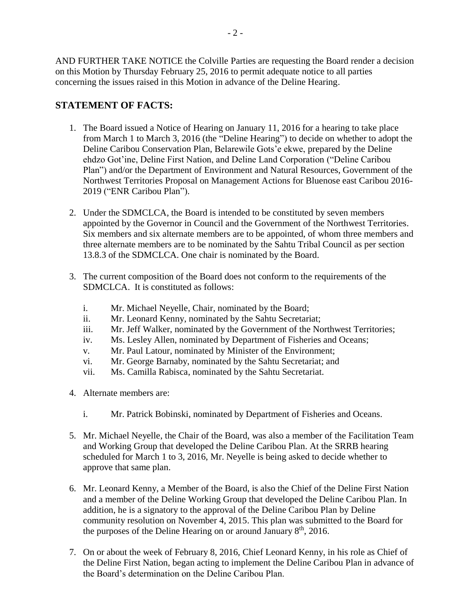AND FURTHER TAKE NOTICE the Colville Parties are requesting the Board render a decision on this Motion by Thursday February 25, 2016 to permit adequate notice to all parties concerning the issues raised in this Motion in advance of the Deline Hearing.

# **STATEMENT OF FACTS:**

- 1. The Board issued a Notice of Hearing on January 11, 2016 for a hearing to take place from March 1 to March 3, 2016 (the "Deline Hearing") to decide on whether to adopt the Deline Caribou Conservation Plan, Belarewile Gots'e ekwe, prepared by the Deline ehdzo Got'ine, Deline First Nation, and Deline Land Corporation ("Deline Caribou Plan") and/or the Department of Environment and Natural Resources, Government of the Northwest Territories Proposal on Management Actions for Bluenose east Caribou 2016- 2019 ("ENR Caribou Plan").
- 2. Under the SDMCLCA, the Board is intended to be constituted by seven members appointed by the Governor in Council and the Government of the Northwest Territories. Six members and six alternate members are to be appointed, of whom three members and three alternate members are to be nominated by the Sahtu Tribal Council as per section 13.8.3 of the SDMCLCA. One chair is nominated by the Board.
- 3. The current composition of the Board does not conform to the requirements of the SDMCLCA. It is constituted as follows:
	- i. Mr. Michael Neyelle, Chair, nominated by the Board;
	- ii. Mr. Leonard Kenny, nominated by the Sahtu Secretariat;
	- iii. Mr. Jeff Walker, nominated by the Government of the Northwest Territories;
	- iv. Ms. Lesley Allen, nominated by Department of Fisheries and Oceans;
	- v. Mr. Paul Latour, nominated by Minister of the Environment;
	- vi. Mr. George Barnaby, nominated by the Sahtu Secretariat; and
	- vii. Ms. Camilla Rabisca, nominated by the Sahtu Secretariat.
- 4. Alternate members are:
	- i. Mr. Patrick Bobinski, nominated by Department of Fisheries and Oceans.
- 5. Mr. Michael Neyelle, the Chair of the Board, was also a member of the Facilitation Team and Working Group that developed the Deline Caribou Plan. At the SRRB hearing scheduled for March 1 to 3, 2016, Mr. Neyelle is being asked to decide whether to approve that same plan.
- 6. Mr. Leonard Kenny, a Member of the Board, is also the Chief of the Deline First Nation and a member of the Deline Working Group that developed the Deline Caribou Plan. In addition, he is a signatory to the approval of the Deline Caribou Plan by Deline community resolution on November 4, 2015. This plan was submitted to the Board for the purposes of the Deline Hearing on or around January  $8<sup>th</sup>$ , 2016.
- 7. On or about the week of February 8, 2016, Chief Leonard Kenny, in his role as Chief of the Deline First Nation, began acting to implement the Deline Caribou Plan in advance of the Board's determination on the Deline Caribou Plan.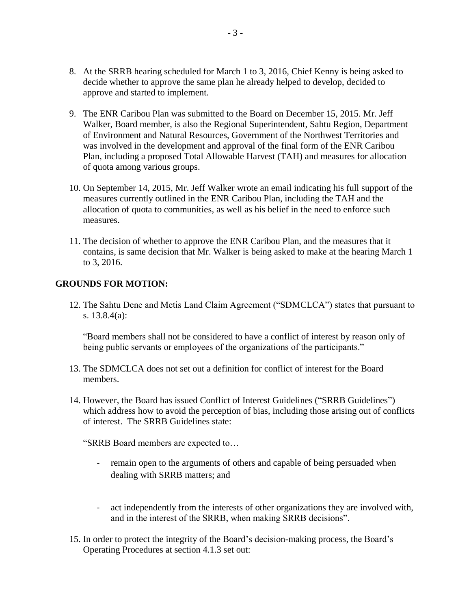- 8. At the SRRB hearing scheduled for March 1 to 3, 2016, Chief Kenny is being asked to decide whether to approve the same plan he already helped to develop, decided to approve and started to implement.
- 9. The ENR Caribou Plan was submitted to the Board on December 15, 2015. Mr. Jeff Walker, Board member, is also the Regional Superintendent, Sahtu Region, Department of Environment and Natural Resources, Government of the Northwest Territories and was involved in the development and approval of the final form of the ENR Caribou Plan, including a proposed Total Allowable Harvest (TAH) and measures for allocation of quota among various groups.
- 10. On September 14, 2015, Mr. Jeff Walker wrote an email indicating his full support of the measures currently outlined in the ENR Caribou Plan, including the TAH and the allocation of quota to communities, as well as his belief in the need to enforce such measures.
- 11. The decision of whether to approve the ENR Caribou Plan, and the measures that it contains, is same decision that Mr. Walker is being asked to make at the hearing March 1 to 3, 2016.

# **GROUNDS FOR MOTION:**

12. The Sahtu Dene and Metis Land Claim Agreement ("SDMCLCA") states that pursuant to s. 13.8.4(a):

"Board members shall not be considered to have a conflict of interest by reason only of being public servants or employees of the organizations of the participants."

- 13. The SDMCLCA does not set out a definition for conflict of interest for the Board members.
- 14. However, the Board has issued Conflict of Interest Guidelines ("SRRB Guidelines") which address how to avoid the perception of bias, including those arising out of conflicts of interest. The SRRB Guidelines state:

"SRRB Board members are expected to…

- remain open to the arguments of others and capable of being persuaded when dealing with SRRB matters; and
- act independently from the interests of other organizations they are involved with, and in the interest of the SRRB, when making SRRB decisions".
- 15. In order to protect the integrity of the Board's decision-making process, the Board's Operating Procedures at section 4.1.3 set out: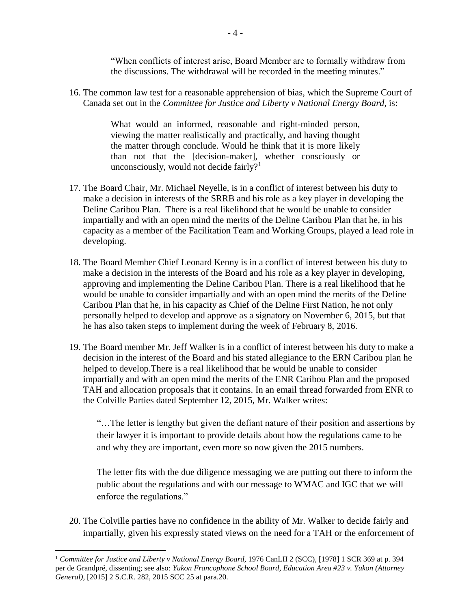"When conflicts of interest arise, Board Member are to formally withdraw from the discussions. The withdrawal will be recorded in the meeting minutes."

16. The common law test for a reasonable apprehension of bias, which the Supreme Court of Canada set out in the *Committee for Justice and Liberty v National Energy Board,* is:

> What would an informed, reasonable and right-minded person, viewing the matter realistically and practically, and having thought the matter through conclude. Would he think that it is more likely than not that the [decision-maker], whether consciously or unconsciously, would not decide fairly?<sup>1</sup>

- 17. The Board Chair, Mr. Michael Neyelle, is in a conflict of interest between his duty to make a decision in interests of the SRRB and his role as a key player in developing the Deline Caribou Plan. There is a real likelihood that he would be unable to consider impartially and with an open mind the merits of the Deline Caribou Plan that he, in his capacity as a member of the Facilitation Team and Working Groups, played a lead role in developing.
- 18. The Board Member Chief Leonard Kenny is in a conflict of interest between his duty to make a decision in the interests of the Board and his role as a key player in developing, approving and implementing the Deline Caribou Plan. There is a real likelihood that he would be unable to consider impartially and with an open mind the merits of the Deline Caribou Plan that he, in his capacity as Chief of the Deline First Nation, he not only personally helped to develop and approve as a signatory on November 6, 2015, but that he has also taken steps to implement during the week of February 8, 2016.
- 19. The Board member Mr. Jeff Walker is in a conflict of interest between his duty to make a decision in the interest of the Board and his stated allegiance to the ERN Caribou plan he helped to develop.There is a real likelihood that he would be unable to consider impartially and with an open mind the merits of the ENR Caribou Plan and the proposed TAH and allocation proposals that it contains. In an email thread forwarded from ENR to the Colville Parties dated September 12, 2015, Mr. Walker writes:

"…The letter is lengthy but given the defiant nature of their position and assertions by their lawyer it is important to provide details about how the regulations came to be and why they are important, even more so now given the 2015 numbers.

The letter fits with the due diligence messaging we are putting out there to inform the public about the regulations and with our message to WMAC and IGC that we will enforce the regulations."

20. The Colville parties have no confidence in the ability of Mr. Walker to decide fairly and impartially, given his expressly stated views on the need for a TAH or the enforcement of

 $\overline{a}$ 

<sup>1</sup> *Committee for Justice and Liberty v National Energy Board*, 1976 CanLII 2 (SCC), [1978] 1 SCR 369 at p. 394 per de Grandpré, dissenting; see also: *Yukon Francophone School Board, Education Area #23 v. Yukon (Attorney General),* [2015] 2 S.C.R. 282, 2015 SCC 25 at para.20.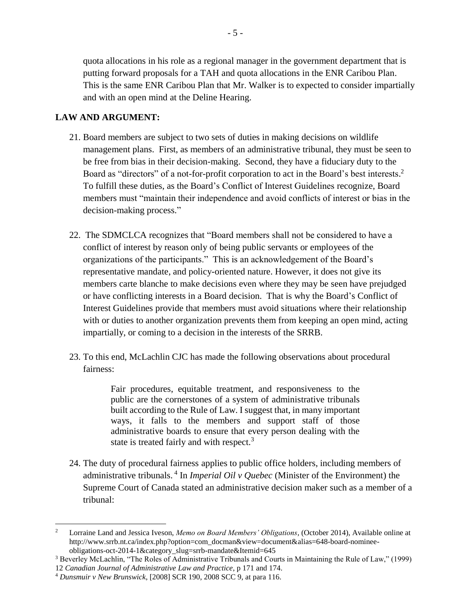quota allocations in his role as a regional manager in the government department that is putting forward proposals for a TAH and quota allocations in the ENR Caribou Plan. This is the same ENR Caribou Plan that Mr. Walker is to expected to consider impartially and with an open mind at the Deline Hearing.

# **LAW AND ARGUMENT:**

- 21. Board members are subject to two sets of duties in making decisions on wildlife management plans. First, as members of an administrative tribunal, they must be seen to be free from bias in their decision-making. Second, they have a fiduciary duty to the Board as "directors" of a not-for-profit corporation to act in the Board's best interests.<sup>2</sup> To fulfill these duties, as the Board's Conflict of Interest Guidelines recognize, Board members must "maintain their independence and avoid conflicts of interest or bias in the decision-making process."
- 22. The SDMCLCA recognizes that "Board members shall not be considered to have a conflict of interest by reason only of being public servants or employees of the organizations of the participants." This is an acknowledgement of the Board's representative mandate, and policy-oriented nature. However, it does not give its members carte blanche to make decisions even where they may be seen have prejudged or have conflicting interests in a Board decision. That is why the Board's Conflict of Interest Guidelines provide that members must avoid situations where their relationship with or duties to another organization prevents them from keeping an open mind, acting impartially, or coming to a decision in the interests of the SRRB.
- 23. To this end, McLachlin CJC has made the following observations about procedural fairness:

Fair procedures, equitable treatment, and responsiveness to the public are the cornerstones of a system of administrative tribunals built according to the Rule of Law. I suggest that, in many important ways, it falls to the members and support staff of those administrative boards to ensure that every person dealing with the state is treated fairly and with respect.<sup>3</sup>

24. The duty of procedural fairness applies to public office holders, including members of administrative tribunals. <sup>4</sup> In *Imperial Oil v Quebec* (Minister of the Environment) the Supreme Court of Canada stated an administrative decision maker such as a member of a tribunal:

 $\overline{a}$ 

<sup>2</sup> Lorraine Land and Jessica Iveson, *Memo on Board Members' Obligations*, (October 2014), Available online at http://www.srrb.nt.ca/index.php?option=com\_docman&view=document&alias=648-board-nomineeobligations-oct-2014-1&category\_slug=srrb-mandate&Itemid=645

<sup>3</sup> Beverley McLachlin, "The Roles of Administrative Tribunals and Courts in Maintaining the Rule of Law," (1999) 12 *Canadian Journal of Administrative Law and Practice*, p 171 and 174.

<sup>4</sup> *Dunsmuir v New Brunswick*, [2008] SCR 190, 2008 SCC 9, at para 116.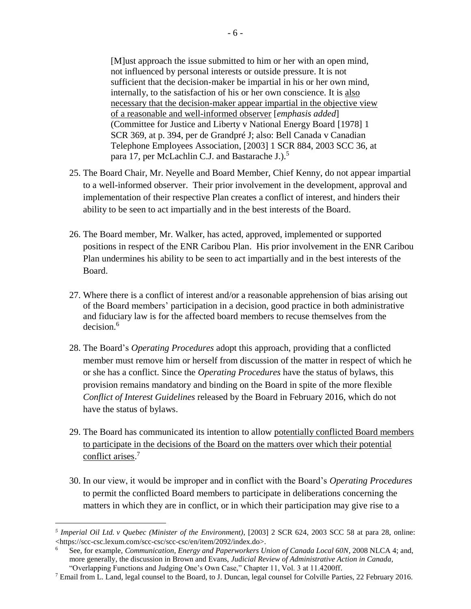[M]ust approach the issue submitted to him or her with an open mind, not influenced by personal interests or outside pressure. It is not sufficient that the decision-maker be impartial in his or her own mind, internally, to the satisfaction of his or her own conscience. It is also necessary that the decision-maker appear impartial in the objective view of a reasonable and well-informed observer [*emphasis added*] (Committee for Justice and Liberty v National Energy Board [1978] 1 SCR 369, at p. 394, per de Grandpré J; also: Bell Canada v Canadian Telephone Employees Association, [2003] 1 SCR 884, 2003 SCC 36, at para 17, per McLachlin C.J. and Bastarache J.).<sup>5</sup>

- 25. The Board Chair, Mr. Neyelle and Board Member, Chief Kenny, do not appear impartial to a well-informed observer. Their prior involvement in the development, approval and implementation of their respective Plan creates a conflict of interest, and hinders their ability to be seen to act impartially and in the best interests of the Board.
- 26. The Board member, Mr. Walker, has acted, approved, implemented or supported positions in respect of the ENR Caribou Plan. His prior involvement in the ENR Caribou Plan undermines his ability to be seen to act impartially and in the best interests of the Board.
- 27. Where there is a conflict of interest and/or a reasonable apprehension of bias arising out of the Board members' participation in a decision, good practice in both administrative and fiduciary law is for the affected board members to recuse themselves from the decision.<sup>6</sup>
- 28. The Board's *Operating Procedures* adopt this approach, providing that a conflicted member must remove him or herself from discussion of the matter in respect of which he or she has a conflict. Since the *Operating Procedures* have the status of bylaws, this provision remains mandatory and binding on the Board in spite of the more flexible *Conflict of Interest Guidelines* released by the Board in February 2016, which do not have the status of bylaws.
- 29. The Board has communicated its intention to allow potentially conflicted Board members to participate in the decisions of the Board on the matters over which their potential conflict arises.<sup>7</sup>
- 30. In our view, it would be improper and in conflict with the Board's *Operating Procedures* to permit the conflicted Board members to participate in deliberations concerning the matters in which they are in conflict, or in which their participation may give rise to a

 $\overline{a}$ 

*<sup>5</sup> Imperial Oil Ltd. v Quebec (Minister of the Environment)*, [2003] 2 SCR 624, 2003 SCC 58 at para 28, online: <https://scc-csc.lexum.com/scc-csc/scc-csc/en/item/2092/index.do>.

<sup>6</sup> See, for example, *Communication, Energy and Paperworkers Union of Canada Local 60N*, 2008 NLCA 4; and, more generally, the discussion in Brown and Evans, *Judicial Review of Administrative Action in Canada,*  "Overlapping Functions and Judging One's Own Case," Chapter 11, Vol. 3 at 11.4200ff.

<sup>&</sup>lt;sup>7</sup> Email from L. Land, legal counsel to the Board, to J. Duncan, legal counsel for Colville Parties, 22 February 2016.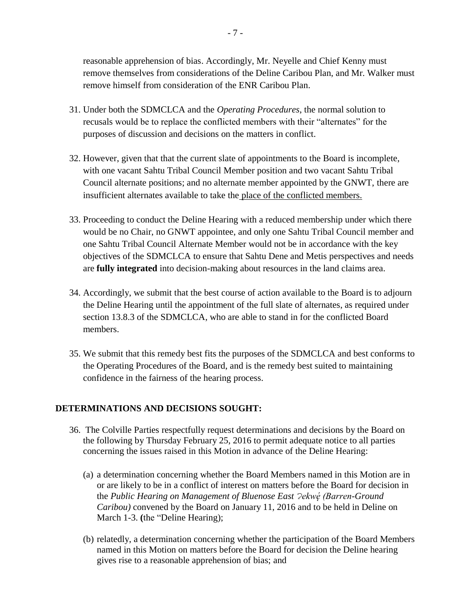reasonable apprehension of bias. Accordingly, Mr. Neyelle and Chief Kenny must remove themselves from considerations of the Deline Caribou Plan, and Mr. Walker must remove himself from consideration of the ENR Caribou Plan.

- 31. Under both the SDMCLCA and the *Operating Procedures*, the normal solution to recusals would be to replace the conflicted members with their "alternates" for the purposes of discussion and decisions on the matters in conflict.
- 32. However, given that that the current slate of appointments to the Board is incomplete, with one vacant Sahtu Tribal Council Member position and two vacant Sahtu Tribal Council alternate positions; and no alternate member appointed by the GNWT, there are insufficient alternates available to take the place of the conflicted members.
- 33. Proceeding to conduct the Deline Hearing with a reduced membership under which there would be no Chair, no GNWT appointee, and only one Sahtu Tribal Council member and one Sahtu Tribal Council Alternate Member would not be in accordance with the key objectives of the SDMCLCA to ensure that Sahtu Dene and Metis perspectives and needs are **fully integrated** into decision-making about resources in the land claims area.
- 34. Accordingly, we submit that the best course of action available to the Board is to adjourn the Deline Hearing until the appointment of the full slate of alternates, as required under section 13.8.3 of the SDMCLCA, who are able to stand in for the conflicted Board members.
- 35. We submit that this remedy best fits the purposes of the SDMCLCA and best conforms to the Operating Procedures of the Board, and is the remedy best suited to maintaining confidence in the fairness of the hearing process.

## **DETERMINATIONS AND DECISIONS SOUGHT:**

- 36. The Colville Parties respectfully request determinations and decisions by the Board on the following by Thursday February 25, 2016 to permit adequate notice to all parties concerning the issues raised in this Motion in advance of the Deline Hearing:
	- (a) a determination concerning whether the Board Members named in this Motion are in or are likely to be in a conflict of interest on matters before the Board for decision in the *Public Hearing on Management of Bluenose East Ɂekwe ̨́ (Barren-Ground Caribou)* convened by the Board on January 11, 2016 and to be held in Deline on March 1-3. (the "Deline Hearing);
	- (b) relatedly, a determination concerning whether the participation of the Board Members named in this Motion on matters before the Board for decision the Deline hearing gives rise to a reasonable apprehension of bias; and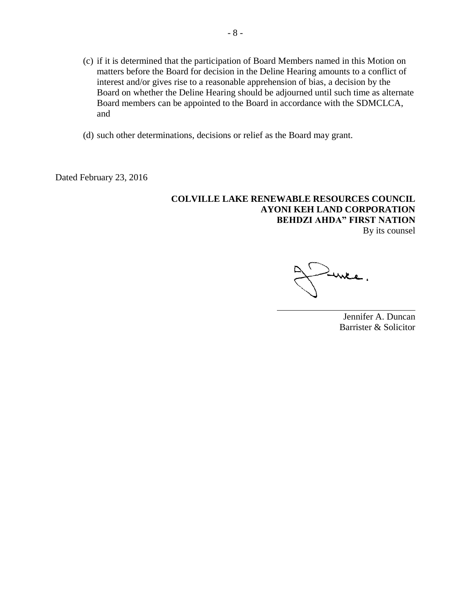- (c) if it is determined that the participation of Board Members named in this Motion on matters before the Board for decision in the Deline Hearing amounts to a conflict of interest and/or gives rise to a reasonable apprehension of bias, a decision by the Board on whether the Deline Hearing should be adjourned until such time as alternate Board members can be appointed to the Board in accordance with the SDMCLCA, and
- (d) such other determinations, decisions or relief as the Board may grant.

Dated February 23, 2016

## **COLVILLE LAKE RENEWABLE RESOURCES COUNCIL AYONI KEH LAND CORPORATION BEHDZI AHDA" FIRST NATION**  By its counsel

Jennifer A. Duncan Barrister & Solicitor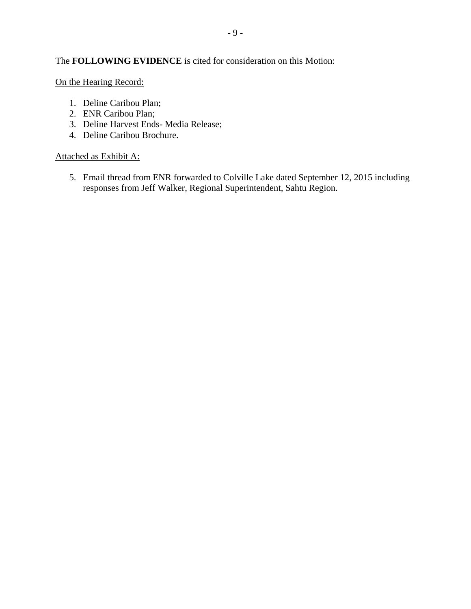# The **FOLLOWING EVIDENCE** is cited for consideration on this Motion:

On the Hearing Record:

- 1. Deline Caribou Plan;
- 2. ENR Caribou Plan;
- 3. Deline Harvest Ends- Media Release;
- 4. Deline Caribou Brochure.

### Attached as Exhibit A:

5. Email thread from ENR forwarded to Colville Lake dated September 12, 2015 including responses from Jeff Walker, Regional Superintendent, Sahtu Region.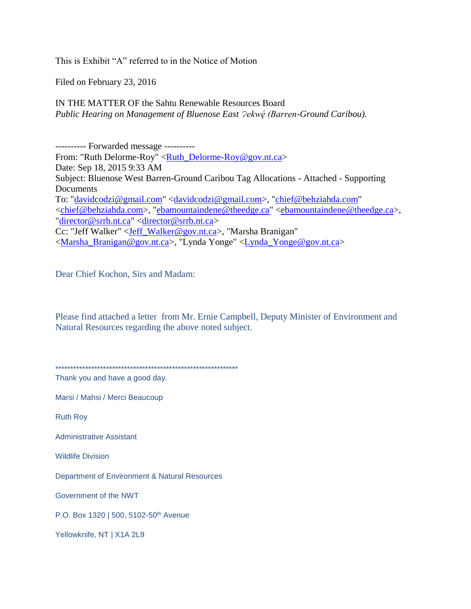This is Exhibit "A" referred to in the Notice of Motion

Filed on February 23, 2016

IN THE MATTER OF the Sahtu Renewable Resources Board *Public Hearing on Management of Bluenose East Ɂekwe ̨́ (Barren-Ground Caribou).*

---------- Forwarded message ---------- From: "Ruth Delorme-Roy" [<Ruth\\_Delorme-Roy@gov.nt.ca>](mailto:Ruth_Delorme-Roy@gov.nt.ca) Date: Sep 18, 2015 9:33 AM Subject: Bluenose West Barren-Ground Caribou Tag Allocations - Attached - Supporting **Documents** To: ["davidcodzi@gmail.com"](mailto:davidcodzi@gmail.com) [<davidcodzi@gmail.com>](mailto:davidcodzi@gmail.com), ["chief@behziahda.com"](mailto:chief@behziahda.com) [<chief@behziahda.com>](mailto:chief@behziahda.com), ["ebamountaindene@theedge.ca"](mailto:ebamountaindene@theedge.ca) [<ebamountaindene@theedge.ca>](mailto:ebamountaindene@theedge.ca), ["director@srrb.nt.ca"](mailto:director@srrb.nt.ca) [<director@srrb.nt.ca>](mailto:director@srrb.nt.ca) Cc: "Jeff Walker" [<Jeff\\_Walker@gov.nt.ca>](mailto:Jeff_Walker@gov.nt.ca), "Marsha Branigan" [<Marsha\\_Branigan@gov.nt.ca>](mailto:Marsha_Branigan@gov.nt.ca), "Lynda Yonge" [<Lynda\\_Yonge@gov.nt.ca>](mailto:Lynda_Yonge@gov.nt.ca)

Dear Chief Kochon, Sirs and Madam:

Please find attached a letter from Mr. Ernie Campbell, Deputy Minister of Environment and Natural Resources regarding the above noted subject.

\*\*\*\*\*\*\*\*\*\*\*\*\*\*\*\*\*\*\*\*\*\*\*\*\*\*\*\*\*\*\*\*\*\*\*\*\*\*\*\*\*\*\*\*\*\*\*\*\*\*\*\*\*\*\*\*\*\*\*\*\*

Thank you and have a good day.

Marsi / Mahsi / Merci Beaucoup

Ruth Roy

Administrative Assistant

Wildlife Division

Department of Environment & Natural Resources

Government of the NWT

P.O. Box 1320 | 500, 5102-50<sup>th</sup> Avenue

Yellowknife, NT | X1A 2L9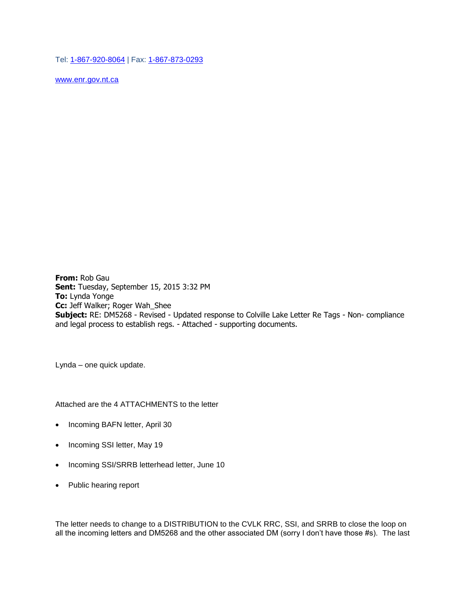Tel: [1-867-920-8064](tel:1-867-920-8064) | Fax: [1-867-873-0293](tel:1-867-873-0293)

[www.enr.gov.nt.ca](http://www.enr.gov.nt.ca/)

**From:** Rob Gau **Sent:** Tuesday, September 15, 2015 3:32 PM **To:** Lynda Yonge **Cc:** Jeff Walker; Roger Wah\_Shee **Subject:** RE: DM5268 - Revised - Updated response to Colville Lake Letter Re Tags - Non- compliance and legal process to establish regs. - Attached - supporting documents.

Lynda – one quick update.

Attached are the 4 ATTACHMENTS to the letter

- Incoming BAFN letter, April 30
- Incoming SSI letter, May 19
- Incoming SSI/SRRB letterhead letter, June 10
- Public hearing report

The letter needs to change to a DISTRIBUTION to the CVLK RRC, SSI, and SRRB to close the loop on all the incoming letters and DM5268 and the other associated DM (sorry I don't have those #s). The last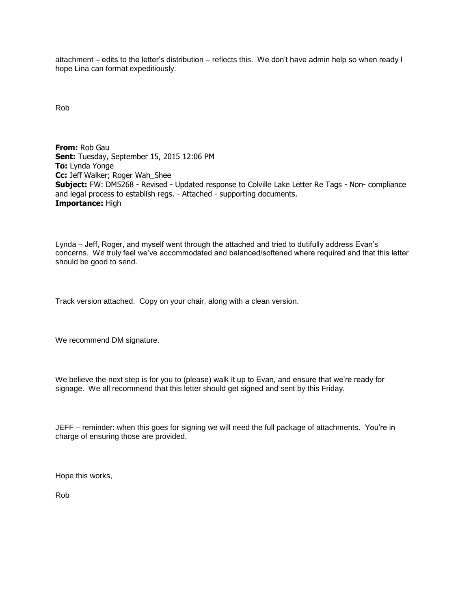attachment – edits to the letter's distribution – reflects this. We don't have admin help so when ready I hope Lina can format expeditiously.

Rob

**From:** Rob Gau **Sent:** Tuesday, September 15, 2015 12:06 PM **To:** Lynda Yonge **Cc:** Jeff Walker; Roger Wah\_Shee **Subject:** FW: DM5268 - Revised - Updated response to Colville Lake Letter Re Tags - Non- compliance and legal process to establish regs. - Attached - supporting documents. **Importance:** High

Lynda – Jeff, Roger, and myself went through the attached and tried to dutifully address Evan's concerns. We truly feel we've accommodated and balanced/softened where required and that this letter should be good to send.

Track version attached. Copy on your chair, along with a clean version.

We recommend DM signature.

We believe the next step is for you to (please) walk it up to Evan, and ensure that we're ready for signage. We all recommend that this letter should get signed and sent by this Friday.

JEFF – reminder: when this goes for signing we will need the full package of attachments. You're in charge of ensuring those are provided.

Hope this works,

Rob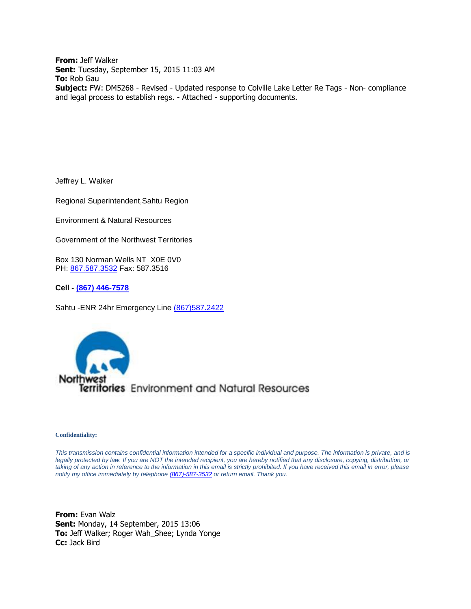**From:** Jeff Walker **Sent:** Tuesday, September 15, 2015 11:03 AM **To:** Rob Gau **Subject:** FW: DM5268 - Revised - Updated response to Colville Lake Letter Re Tags - Non- compliance and legal process to establish regs. - Attached - supporting documents.

Jeffrey L. Walker

Regional Superintendent,Sahtu Region

Environment & Natural Resources

Government of the Northwest Territories

Box 130 Norman Wells NT X0E 0V0 PH: [867.587.3532](tel:867.587.3532) Fax: 587.3516

**Cell - [\(867\) 446-7578](tel:%28867%29%20446-7578)**

Sahtu -ENR 24hr Emergency Line [\(867\)587.2422](tel:%28867%29587.2422)



#### **Confidentiality:**

*This transmission contains confidential information intended for a specific individual and purpose. The information is private, and is legally protected by law. If you are NOT the intended recipient, you are hereby notified that any disclosure, copying, distribution, or taking of any action in reference to the information in this email is strictly prohibited. If you have received this email in error, please notify my office immediately by telephon[e \(867\)-587-3532](tel:%28867%29-587-3532) or return email. Thank you.*

**From:** Evan Walz **Sent:** Monday, 14 September, 2015 13:06 **To:** Jeff Walker; Roger Wah\_Shee; Lynda Yonge **Cc:** Jack Bird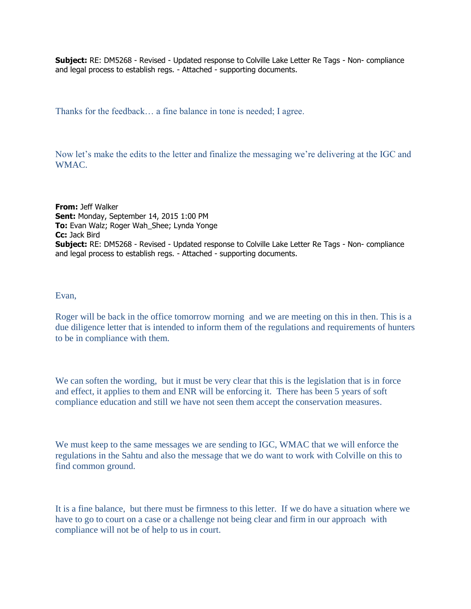**Subject:** RE: DM5268 - Revised - Updated response to Colville Lake Letter Re Tags - Non- compliance and legal process to establish regs. - Attached - supporting documents.

Thanks for the feedback… a fine balance in tone is needed; I agree.

Now let's make the edits to the letter and finalize the messaging we're delivering at the IGC and WMAC.

**From:** Jeff Walker **Sent:** Monday, September 14, 2015 1:00 PM **To:** Evan Walz; Roger Wah Shee; Lynda Yonge **Cc:** Jack Bird **Subject:** RE: DM5268 - Revised - Updated response to Colville Lake Letter Re Tags - Non- compliance and legal process to establish regs. - Attached - supporting documents.

#### Evan,

Roger will be back in the office tomorrow morning and we are meeting on this in then. This is a due diligence letter that is intended to inform them of the regulations and requirements of hunters to be in compliance with them.

We can soften the wording, but it must be very clear that this is the legislation that is in force and effect, it applies to them and ENR will be enforcing it. There has been 5 years of soft compliance education and still we have not seen them accept the conservation measures.

We must keep to the same messages we are sending to IGC, WMAC that we will enforce the regulations in the Sahtu and also the message that we do want to work with Colville on this to find common ground.

It is a fine balance, but there must be firmness to this letter. If we do have a situation where we have to go to court on a case or a challenge not being clear and firm in our approach with compliance will not be of help to us in court.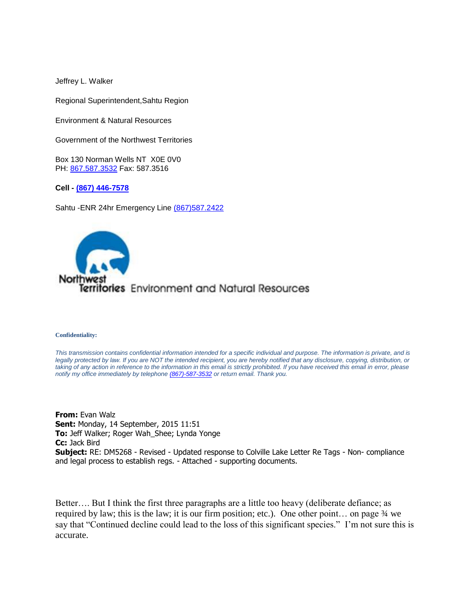Jeffrey L. Walker

Regional Superintendent,Sahtu Region

Environment & Natural Resources

Government of the Northwest Territories

Box 130 Norman Wells NT X0E 0V0 PH: [867.587.3532](tel:867.587.3532) Fax: 587.3516

**Cell - [\(867\) 446-7578](tel:%28867%29%20446-7578)**

Sahtu -ENR 24hr Emergency Line [\(867\)587.2422](tel:%28867%29587.2422)



#### **Confidentiality:**

*This transmission contains confidential information intended for a specific individual and purpose. The information is private, and is*  legally protected by law. If you are NOT the intended recipient, you are hereby notified that any disclosure, copying, distribution, or taking of any action in reference to the information in this email is strictly prohibited. If you have received this email in error, please *notify my office immediately by telephon[e \(867\)-587-3532](tel:%28867%29-587-3532) or return email. Thank you.*

**From:** Evan Walz **Sent:** Monday, 14 September, 2015 11:51 **To:** Jeff Walker; Roger Wah\_Shee; Lynda Yonge **Cc:** Jack Bird **Subject:** RE: DM5268 - Revised - Updated response to Colville Lake Letter Re Tags - Non- compliance and legal process to establish regs. - Attached - supporting documents.

Better…. But I think the first three paragraphs are a little too heavy (deliberate defiance; as required by law; this is the law; it is our firm position; etc.). One other point… on page ¾ we say that "Continued decline could lead to the loss of this significant species." I'm not sure this is accurate.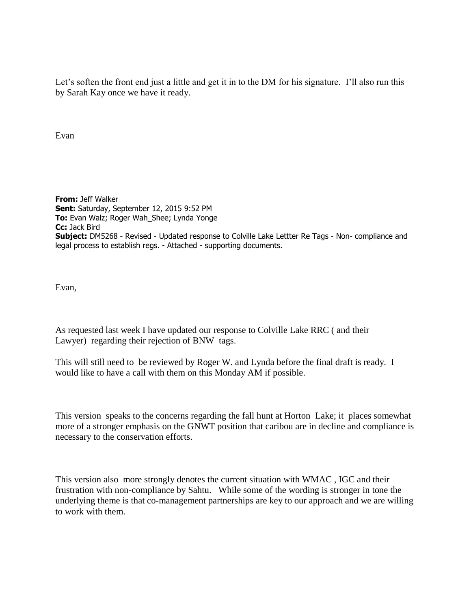Let's soften the front end just a little and get it in to the DM for his signature. I'll also run this by Sarah Kay once we have it ready.

Evan

**From:** Jeff Walker **Sent:** Saturday, September 12, 2015 9:52 PM **To:** Evan Walz; Roger Wah\_Shee; Lynda Yonge **Cc:** Jack Bird **Subject:** DM5268 - Revised - Updated response to Colville Lake Lettter Re Tags - Non- compliance and legal process to establish regs. - Attached - supporting documents.

Evan,

As requested last week I have updated our response to Colville Lake RRC ( and their Lawyer) regarding their rejection of BNW tags.

This will still need to be reviewed by Roger W. and Lynda before the final draft is ready. I would like to have a call with them on this Monday AM if possible.

This version speaks to the concerns regarding the fall hunt at Horton Lake; it places somewhat more of a stronger emphasis on the GNWT position that caribou are in decline and compliance is necessary to the conservation efforts.

This version also more strongly denotes the current situation with WMAC , IGC and their frustration with non-compliance by Sahtu. While some of the wording is stronger in tone the underlying theme is that co-management partnerships are key to our approach and we are willing to work with them.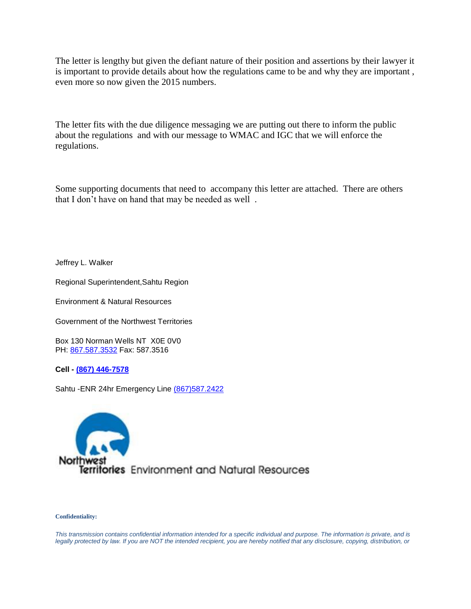The letter is lengthy but given the defiant nature of their position and assertions by their lawyer it is important to provide details about how the regulations came to be and why they are important , even more so now given the 2015 numbers.

The letter fits with the due diligence messaging we are putting out there to inform the public about the regulations and with our message to WMAC and IGC that we will enforce the regulations.

Some supporting documents that need to accompany this letter are attached. There are others that I don't have on hand that may be needed as well .

Jeffrey L. Walker

Regional Superintendent,Sahtu Region

Environment & Natural Resources

Government of the Northwest Territories

Box 130 Norman Wells NT X0E 0V0 PH: [867.587.3532](tel:867.587.3532) Fax: 587.3516

**Cell - [\(867\) 446-7578](tel:%28867%29%20446-7578)**

Sahtu -ENR 24hr Emergency Line [\(867\)587.2422](tel:%28867%29587.2422)



#### **Confidentiality:**

*This transmission contains confidential information intended for a specific individual and purpose. The information is private, and is*  legally protected by law. If you are NOT the intended recipient, you are hereby notified that any disclosure, copying, distribution, or